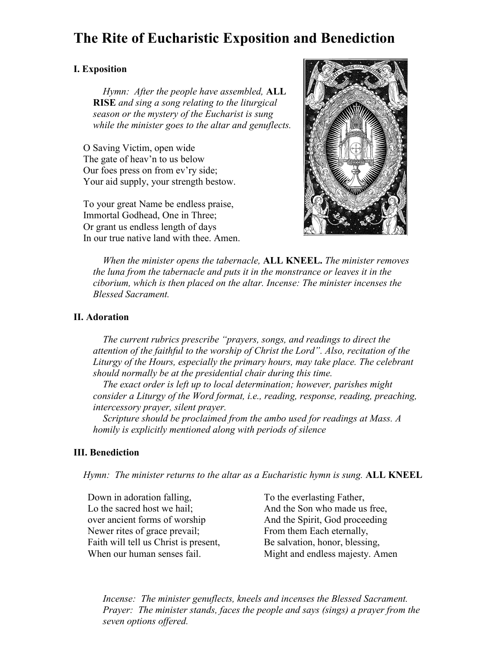# **The Rite of Eucharistic Exposition and Benediction**

## **I. Exposition**

*Hymn: After the people have assembled,* **ALL RISE** *and sing a song relating to the liturgical season or the mystery of the Eucharist is sung while the minister goes to the altar and genuflects.*

O Saving Victim, open wide The gate of heav'n to us below Our foes press on from ev'ry side; Your aid supply, your strength bestow.

To your great Name be endless praise, Immortal Godhead, One in Three; Or grant us endless length of days In our true native land with thee. Amen.



*When the minister opens the tabernacle,* **ALL KNEEL.** *The minister removes the luna from the tabernacle and puts it in the monstrance or leaves it in the ciborium, which is then placed on the altar. Incense: The minister incenses the Blessed Sacrament.*

#### **II. Adoration**

*The current rubrics prescribe "prayers, songs, and readings to direct the attention of the faithful to the worship of Christ the Lord". Also, recitation of the Liturgy of the Hours, especially the primary hours, may take place. The celebrant should normally be at the presidential chair during this time.*

*The exact order is left up to local determination; however, parishes might consider a Liturgy of the Word format, i.e., reading, response, reading, preaching, intercessory prayer, silent prayer.*

*Scripture should be proclaimed from the ambo used for readings at Mass. A homily is explicitly mentioned along with periods of silence* 

### **III. Benediction**

*Hymn: The minister returns to the altar as a Eucharistic hymn is sung.* **ALL KNEEL**

Down in adoration falling, Lo the sacred host we hail; over ancient forms of worship Newer rites of grace prevail; Faith will tell us Christ is present, When our human senses fail.

To the everlasting Father, And the Son who made us free, And the Spirit, God proceeding From them Each eternally, Be salvation, honor, blessing, Might and endless majesty. Amen

*Incense: The minister genuflects, kneels and incenses the Blessed Sacrament. Prayer: The minister stands, faces the people and says (sings) a prayer from the seven options offered.*